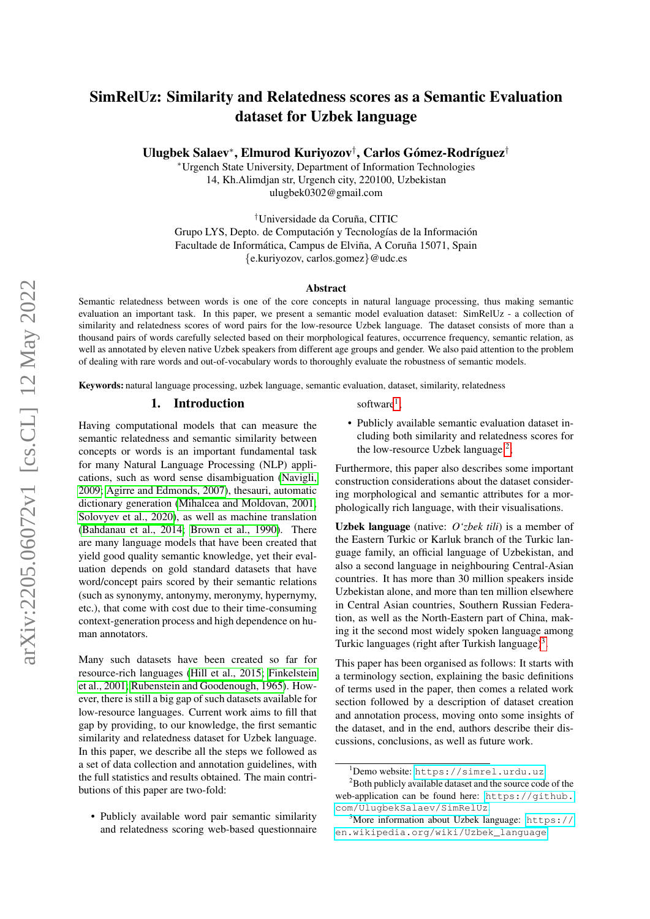# SimRelUz: Similarity and Relatedness scores as a Semantic Evaluation dataset for Uzbek language

Ulugbek Salaev\*, Elmurod Kuriyozov<sup>†</sup>, Carlos Gómez-Rodríguez<sup>†</sup>

<sup>∗</sup>Urgench State University, Department of Information Technologies 14, Kh.Alimdjan str, Urgench city, 220100, Uzbekistan ulugbek0302@gmail.com

<sup>†</sup>Universidade da Coruña, CITIC Grupo LYS, Depto. de Computación y Tecnologías de la Información Facultade de Informática, Campus de Elviña, A Coruña 15071, Spain {e.kuriyozov, carlos.gomez}@udc.es

## Abstract

Semantic relatedness between words is one of the core concepts in natural language processing, thus making semantic evaluation an important task. In this paper, we present a semantic model evaluation dataset: SimRelUz - a collection of similarity and relatedness scores of word pairs for the low-resource Uzbek language. The dataset consists of more than a thousand pairs of words carefully selected based on their morphological features, occurrence frequency, semantic relation, as well as annotated by eleven native Uzbek speakers from different age groups and gender. We also paid attention to the problem of dealing with rare words and out-of-vocabulary words to thoroughly evaluate the robustness of semantic models.

Keywords: natural language processing, uzbek language, semantic evaluation, dataset, similarity, relatedness

## 1. Introduction

Having computational models that can measure the semantic relatedness and semantic similarity between concepts or words is an important fundamental task for many Natural Language Processing (NLP) applications, such as word sense disambiguation [\(Navigli,](#page-6-0) [2009;](#page-6-0) [Agirre and Edmonds, 2007\)](#page-6-1), thesauri, automatic dictionary generation [\(Mihalcea and Moldovan, 2001;](#page-6-2) [Solovyev et al., 2020\)](#page-7-0), as well as machine translation [\(Bahdanau et al., 2014;](#page-6-3) [Brown et al., 1990\)](#page-6-4). There are many language models that have been created that yield good quality semantic knowledge, yet their evaluation depends on gold standard datasets that have word/concept pairs scored by their semantic relations (such as synonymy, antonymy, meronymy, hypernymy, etc.), that come with cost due to their time-consuming context-generation process and high dependence on human annotators.

Many such datasets have been created so far for resource-rich languages [\(Hill et al., 2015;](#page-6-5) [Finkelstein](#page-6-6) [et al., 2001;](#page-6-6) [Rubenstein and Goodenough, 1965\)](#page-7-1). However, there is still a big gap of such datasets available for low-resource languages. Current work aims to fill that gap by providing, to our knowledge, the first semantic similarity and relatedness dataset for Uzbek language. In this paper, we describe all the steps we followed as a set of data collection and annotation guidelines, with the full statistics and results obtained. The main contributions of this paper are two-fold:

• Publicly available word pair semantic similarity and relatedness scoring web-based questionnaire

# software<sup>[1](#page-0-0)</sup>;

• Publicly available semantic evaluation dataset including both similarity and relatedness scores for the low-resource Uzbek language<sup>[2](#page-0-1)</sup>;

Furthermore, this paper also describes some important construction considerations about the dataset considering morphological and semantic attributes for a morphologically rich language, with their visualisations.

Uzbek language (native: *O'zbek tili*) is a member of the Eastern Turkic or Karluk branch of the Turkic language family, an official language of Uzbekistan, and also a second language in neighbouring Central-Asian countries. It has more than 30 million speakers inside Uzbekistan alone, and more than ten million elsewhere in Central Asian countries, Southern Russian Federation, as well as the North-Eastern part of China, making it the second most widely spoken language among Turkic languages (right after Turkish language)<sup>[3](#page-0-2)</sup>.

This paper has been organised as follows: It starts with a terminology section, explaining the basic definitions of terms used in the paper, then comes a related work section followed by a description of dataset creation and annotation process, moving onto some insights of the dataset, and in the end, authors describe their discussions, conclusions, as well as future work.

<span id="page-0-1"></span><span id="page-0-0"></span><sup>1</sup>Demo website: <https://simrel.urdu.uz>

<sup>&</sup>lt;sup>2</sup>Both publicly available dataset and the source code of the web-application can be found here: [https://github.](https://github.com/UlugbekSalaev/SimRelUz) [com/UlugbekSalaev/SimRelUz](https://github.com/UlugbekSalaev/SimRelUz).

<span id="page-0-2"></span> $3^3$ More information about Uzbek language: [https://](https://en.wikipedia.org/wiki/Uzbek_language) [en.wikipedia.org/wiki/Uzbek\\_language](https://en.wikipedia.org/wiki/Uzbek_language)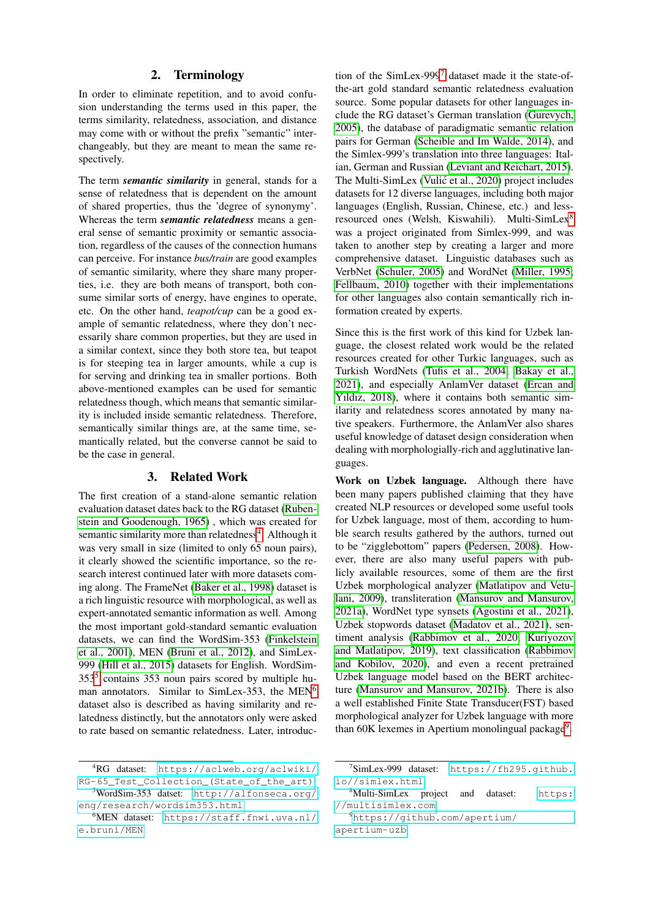## 2. Terminology

In order to eliminate repetition, and to avoid confusion understanding the terms used in this paper, the terms similarity, relatedness, association, and distance may come with or without the prefix "semantic" interchangeably, but they are meant to mean the same respectively.

The term *semantic similarity* in general, stands for a sense of relatedness that is dependent on the amount of shared properties, thus the 'degree of synonymy'. Whereas the term *semantic relatedness* means a general sense of semantic proximity or semantic association, regardless of the causes of the connection humans can perceive. For instance *bus/train* are good examples of semantic similarity, where they share many properties, i.e. they are both means of transport, both consume similar sorts of energy, have engines to operate, etc. On the other hand, *teapot/cup* can be a good example of semantic relatedness, where they don't necessarily share common properties, but they are used in a similar context, since they both store tea, but teapot is for steeping tea in larger amounts, while a cup is for serving and drinking tea in smaller portions. Both above-mentioned examples can be used for semantic relatedness though, which means that semantic similarity is included inside semantic relatedness. Therefore, semantically similar things are, at the same time, semantically related, but the converse cannot be said to be the case in general.

# 3. Related Work

The first creation of a stand-alone semantic relation evaluation dataset dates back to the RG dataset [\(Ruben](#page-7-1)[stein and Goodenough, 1965\)](#page-7-1) , which was created for semantic similarity more than relatedness<sup>[4](#page-1-0)</sup>. Although it was very small in size (limited to only 65 noun pairs), it clearly showed the scientific importance, so the research interest continued later with more datasets coming along. The FrameNet [\(Baker et al., 1998\)](#page-6-7) dataset is a rich linguistic resource with morphological, as well as expert-annotated semantic information as well. Among the most important gold-standard semantic evaluation datasets, we can find the WordSim-353 [\(Finkelstein](#page-6-6) [et al., 2001\)](#page-6-6), MEN [\(Bruni et al., 2012\)](#page-6-8), and SimLex-999 [\(Hill et al., 2015\)](#page-6-5) datasets for English. WordSim-353[5](#page-1-1) contains 353 noun pairs scored by multiple hu-man annotators. Similar to SimLex-353, the MEN<sup>[6](#page-1-2)</sup> dataset also is described as having similarity and relatedness distinctly, but the annotators only were asked to rate based on semantic relatedness. Later, introduction of the SimLex-999[7](#page-1-3) dataset made it the state-ofthe-art gold standard semantic relatedness evaluation source. Some popular datasets for other languages include the RG dataset's German translation [\(Gurevych,](#page-6-9) [2005\)](#page-6-9), the database of paradigmatic semantic relation pairs for German [\(Scheible and Im Walde, 2014\)](#page-7-2), and the Simlex-999's translation into three languages: Italian, German and Russian [\(Leviant and Reichart, 2015\)](#page-6-10). The Multi-SimLex (Vulić et al., 2020) project includes datasets for 12 diverse languages, including both major languages (English, Russian, Chinese, etc.) and less-resourced ones (Welsh, Kiswahili). Multi-SimLex<sup>[8](#page-1-4)</sup> was a project originated from Simlex-999, and was taken to another step by creating a larger and more comprehensive dataset. Linguistic databases such as VerbNet [\(Schuler, 2005\)](#page-7-4) and WordNet [\(Miller, 1995;](#page-6-11) [Fellbaum, 2010\)](#page-6-12) together with their implementations for other languages also contain semantically rich information created by experts.

Since this is the first work of this kind for Uzbek language, the closest related work would be the related resources created for other Turkic languages, such as Turkish WordNets [\(Tufis et al., 2004;](#page-7-5) [Bakay et al.,](#page-6-13) [2021\)](#page-6-13), and especially AnlamVer dataset [\(Ercan and](#page-6-14) [Yıldız, 2018\)](#page-6-14), where it contains both semantic similarity and relatedness scores annotated by many native speakers. Furthermore, the AnlamVer also shares useful knowledge of dataset design consideration when dealing with morphologially-rich and agglutinative languages.

Work on Uzbek language. Although there have been many papers published claiming that they have created NLP resources or developed some useful tools for Uzbek language, most of them, according to humble search results gathered by the authors, turned out to be "zigglebottom" papers [\(Pedersen, 2008\)](#page-6-15). However, there are also many useful papers with publicly available resources, some of them are the first Uzbek morphological analyzer [\(Matlatipov and Vetu](#page-6-16)[lani, 2009\)](#page-6-16), transliteration [\(Mansurov and Mansurov,](#page-6-17) [2021a\)](#page-6-17), WordNet type synsets [\(Agostini et al., 2021\)](#page-6-18), Uzbek stopwords dataset [\(Madatov et al., 2021\)](#page-6-19), sentiment analysis [\(Rabbimov et al., 2020;](#page-6-20) [Kuriyozov](#page-6-21) [and Matlatipov, 2019\)](#page-6-21), text classification [\(Rabbimov](#page-6-22) [and Kobilov, 2020\)](#page-6-22), and even a recent pretrained Uzbek language model based on the BERT architecture [\(Mansurov and Mansurov, 2021b\)](#page-6-23). There is also a well established Finite State Transducer(FST) based morphological analyzer for Uzbek language with more than 60K lexemes in Apertium monolingual package<sup>[9](#page-1-5)</sup>.

<span id="page-1-0"></span><sup>4</sup>RG dataset: [https://aclweb.org/aclwiki/](https://aclweb.org/aclwiki/RG-65_Test_Collection_(State_of_the_art)) [RG-65\\_Test\\_Collection\\_\(State\\_of\\_the\\_art\)](https://aclweb.org/aclwiki/RG-65_Test_Collection_(State_of_the_art))

<span id="page-1-1"></span><sup>5</sup>WordSim-353 datset: [http://alfonseca.org/](http://alfonseca.org/eng/research/wordsim353.html) [eng/research/wordsim353.html](http://alfonseca.org/eng/research/wordsim353.html)

<span id="page-1-2"></span><sup>6</sup>MEN dataset: [https://staff.fnwi.uva.nl/](https://staff.fnwi.uva.nl/e.bruni/MEN) [e.bruni/MEN](https://staff.fnwi.uva.nl/e.bruni/MEN)

<span id="page-1-3"></span> $7$ SimLex-999 dataset: [https://fh295.github.](https://fh295.github.io//simlex.html) [io//simlex.html](https://fh295.github.io//simlex.html)

<span id="page-1-4"></span><sup>&</sup>lt;sup>8</sup>Multi-SimLex project and dataset: [https:](https://multisimlex.com) [//multisimlex.com](https://multisimlex.com)

<span id="page-1-5"></span><sup>9</sup>[https://github.com/apertium/](https://github.com/apertium/apertium-uzb) [apertium-uzb](https://github.com/apertium/apertium-uzb)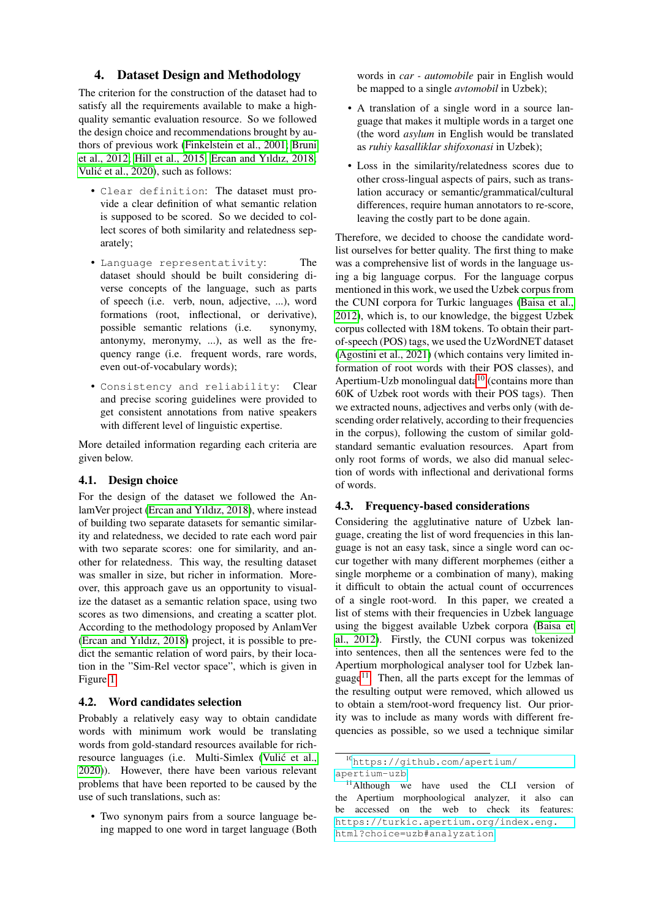## 4. Dataset Design and Methodology

The criterion for the construction of the dataset had to satisfy all the requirements available to make a highquality semantic evaluation resource. So we followed the design choice and recommendations brought by authors of previous work [\(Finkelstein et al., 2001;](#page-6-6) [Bruni](#page-6-8) [et al., 2012;](#page-6-8) [Hill et al., 2015;](#page-6-5) [Ercan and Yıldız, 2018;](#page-6-14) Vulić et al., 2020), such as follows:

- Clear definition: The dataset must provide a clear definition of what semantic relation is supposed to be scored. So we decided to collect scores of both similarity and relatedness separately;
- Language representativity: The dataset should should be built considering diverse concepts of the language, such as parts of speech (i.e. verb, noun, adjective, ...), word formations (root, inflectional, or derivative), possible semantic relations (i.e. synonymy, antonymy, meronymy, ...), as well as the frequency range (i.e. frequent words, rare words, even out-of-vocabulary words);
- Consistency and reliability: Clear and precise scoring guidelines were provided to get consistent annotations from native speakers with different level of linguistic expertise.

More detailed information regarding each criteria are given below.

#### 4.1. Design choice

For the design of the dataset we followed the AnlamVer project [\(Ercan and Yıldız, 2018\)](#page-6-14), where instead of building two separate datasets for semantic similarity and relatedness, we decided to rate each word pair with two separate scores: one for similarity, and another for relatedness. This way, the resulting dataset was smaller in size, but richer in information. Moreover, this approach gave us an opportunity to visualize the dataset as a semantic relation space, using two scores as two dimensions, and creating a scatter plot. According to the methodology proposed by AnlamVer [\(Ercan and Yıldız, 2018\)](#page-6-14) project, it is possible to predict the semantic relation of word pairs, by their location in the "Sim-Rel vector space", which is given in Figure [1.](#page-3-0)

#### 4.2. Word candidates selection

Probably a relatively easy way to obtain candidate words with minimum work would be translating words from gold-standard resources available for richresource languages (i.e. Multi-Simlex (Vulić et al., [2020\)](#page-7-3)). However, there have been various relevant problems that have been reported to be caused by the use of such translations, such as:

• Two synonym pairs from a source language being mapped to one word in target language (Both words in *car - automobile* pair in English would be mapped to a single *avtomobil* in Uzbek);

- A translation of a single word in a source language that makes it multiple words in a target one (the word *asylum* in English would be translated as *ruhiy kasalliklar shifoxonasi* in Uzbek);
- Loss in the similarity/relatedness scores due to other cross-lingual aspects of pairs, such as translation accuracy or semantic/grammatical/cultural differences, require human annotators to re-score, leaving the costly part to be done again.

Therefore, we decided to choose the candidate wordlist ourselves for better quality. The first thing to make was a comprehensive list of words in the language using a big language corpus. For the language corpus mentioned in this work, we used the Uzbek corpus from the CUNI corpora for Turkic languages [\(Baisa et al.,](#page-6-24) [2012\)](#page-6-24), which is, to our knowledge, the biggest Uzbek corpus collected with 18M tokens. To obtain their partof-speech (POS) tags, we used the UzWordNET dataset [\(Agostini et al., 2021\)](#page-6-18) (which contains very limited information of root words with their POS classes), and Apertium-Uzb monolingual data $10$  (contains more than 60K of Uzbek root words with their POS tags). Then we extracted nouns, adjectives and verbs only (with descending order relatively, according to their frequencies in the corpus), following the custom of similar goldstandard semantic evaluation resources. Apart from only root forms of words, we also did manual selection of words with inflectional and derivational forms of words.

# 4.3. Frequency-based considerations

Considering the agglutinative nature of Uzbek language, creating the list of word frequencies in this language is not an easy task, since a single word can occur together with many different morphemes (either a single morpheme or a combination of many), making it difficult to obtain the actual count of occurrences of a single root-word. In this paper, we created a list of stems with their frequencies in Uzbek language using the biggest available Uzbek corpora [\(Baisa et](#page-6-24) [al., 2012\)](#page-6-24). Firstly, the CUNI corpus was tokenized into sentences, then all the sentences were fed to the Apertium morphological analyser tool for Uzbek lan-guage<sup>[11](#page-2-1)</sup>. Then, all the parts except for the lemmas of the resulting output were removed, which allowed us to obtain a stem/root-word frequency list. Our priority was to include as many words with different frequencies as possible, so we used a technique similar

<span id="page-2-0"></span><sup>10</sup>[https://github.com/apertium/](https://github.com/apertium/apertium-uzb)

[apertium-uzb](https://github.com/apertium/apertium-uzb)

<span id="page-2-1"></span><sup>&</sup>lt;sup>11</sup>Although we have used the CLI version of the Apertium morphoological analyzer, it also can be accessed on the web to check its features: [https://turkic.apertium.org/index.eng.](https://turkic.apertium.org/index.eng.html?choice=uzb##analyzation) [html?choice=uzb#analyzation](https://turkic.apertium.org/index.eng.html?choice=uzb##analyzation)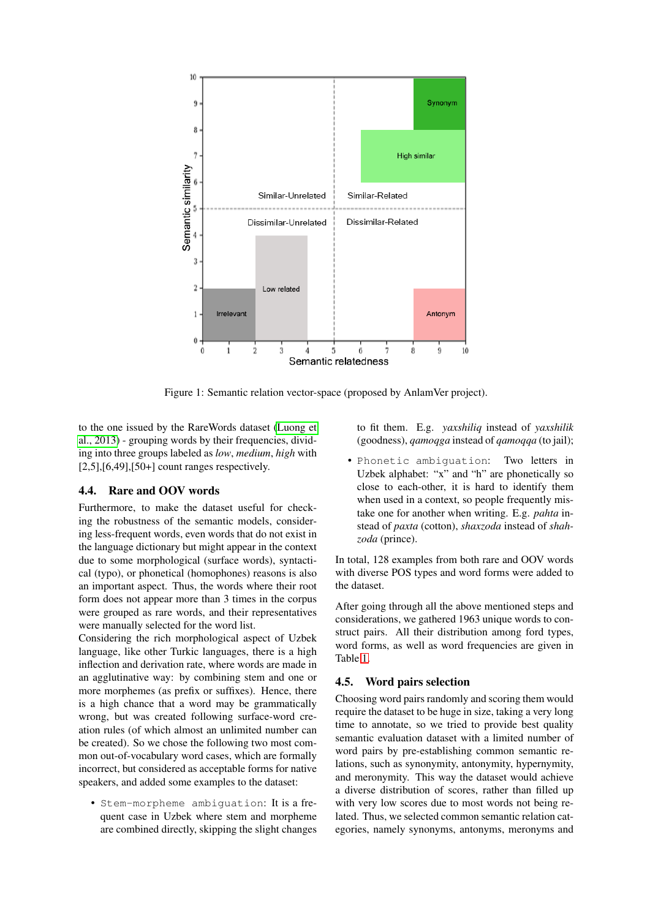

<span id="page-3-0"></span>Figure 1: Semantic relation vector-space (proposed by AnlamVer project).

to the one issued by the RareWords dataset [\(Luong et](#page-6-25) [al., 2013\)](#page-6-25) - grouping words by their frequencies, dividing into three groups labeled as *low*, *medium*, *high* with  $[2,5]$ , $[6,49]$ , $[50+]$  count ranges respectively.

# 4.4. Rare and OOV words

Furthermore, to make the dataset useful for checking the robustness of the semantic models, considering less-frequent words, even words that do not exist in the language dictionary but might appear in the context due to some morphological (surface words), syntactical (typo), or phonetical (homophones) reasons is also an important aspect. Thus, the words where their root form does not appear more than 3 times in the corpus were grouped as rare words, and their representatives were manually selected for the word list.

Considering the rich morphological aspect of Uzbek language, like other Turkic languages, there is a high inflection and derivation rate, where words are made in an agglutinative way: by combining stem and one or more morphemes (as prefix or suffixes). Hence, there is a high chance that a word may be grammatically wrong, but was created following surface-word creation rules (of which almost an unlimited number can be created). So we chose the following two most common out-of-vocabulary word cases, which are formally incorrect, but considered as acceptable forms for native speakers, and added some examples to the dataset:

• Stem-morpheme ambiguation: It is a frequent case in Uzbek where stem and morpheme are combined directly, skipping the slight changes to fit them. E.g. *yaxshiliq* instead of *yaxshilik* (goodness), *qamoqga* instead of *qamoqqa* (to jail);

• Phonetic ambiguation: Two letters in Uzbek alphabet: "x" and "h" are phonetically so close to each-other, it is hard to identify them when used in a context, so people frequently mistake one for another when writing. E.g. *pahta* instead of *paxta* (cotton), *shaxzoda* instead of *shahzoda* (prince).

In total, 128 examples from both rare and OOV words with diverse POS types and word forms were added to the dataset.

After going through all the above mentioned steps and considerations, we gathered 1963 unique words to construct pairs. All their distribution among ford types, word forms, as well as word frequencies are given in Table [1.](#page-4-0)

## 4.5. Word pairs selection

Choosing word pairs randomly and scoring them would require the dataset to be huge in size, taking a very long time to annotate, so we tried to provide best quality semantic evaluation dataset with a limited number of word pairs by pre-establishing common semantic relations, such as synonymity, antonymity, hypernymity, and meronymity. This way the dataset would achieve a diverse distribution of scores, rather than filled up with very low scores due to most words not being related. Thus, we selected common semantic relation categories, namely synonyms, antonyms, meronyms and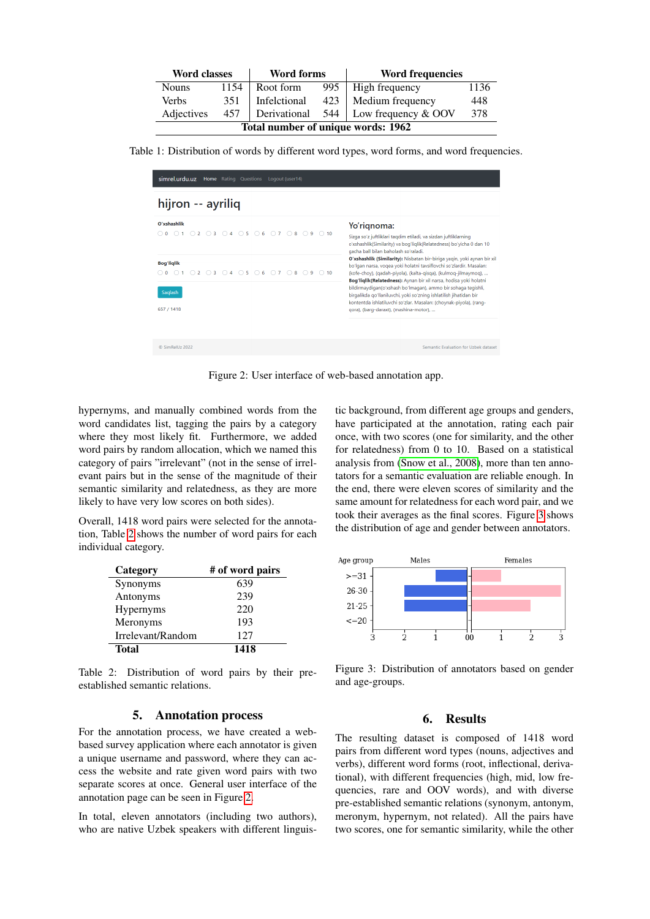| Word classes                       |      | <b>Word forms</b> |             | <b>Word frequencies</b>     |      |  |  |
|------------------------------------|------|-------------------|-------------|-----------------------------|------|--|--|
| <b>Nouns</b>                       | 1154 | Root form         | 995         | High frequency              | 1136 |  |  |
| Verbs                              | 351  | Infelctional      | $423 \perp$ | Medium frequency            | 448  |  |  |
| Adjectives                         | 457  | Derivational      |             | 544   Low frequency $&$ OOV | 378  |  |  |
| Total number of unique words: 1962 |      |                   |             |                             |      |  |  |

Table 1: Distribution of words by different word types, word forms, and word frequencies.

<span id="page-4-0"></span>

| simrel.urdu.uz<br>Home Rating Questions Logout (user14)<br>hijron -- ayriliq               |                                                                                                                                                                                                                                                                                                                                                                                                                                                                                                                                               |  |  |  |  |
|--------------------------------------------------------------------------------------------|-----------------------------------------------------------------------------------------------------------------------------------------------------------------------------------------------------------------------------------------------------------------------------------------------------------------------------------------------------------------------------------------------------------------------------------------------------------------------------------------------------------------------------------------------|--|--|--|--|
|                                                                                            |                                                                                                                                                                                                                                                                                                                                                                                                                                                                                                                                               |  |  |  |  |
| <b>Bog'liglik</b><br>○ 0 0 1 0 2 0 3 0 4 0 5 0 6 0 7 0 8 0 9 0 10<br>Saqlash<br>657 / 1418 | O'xshashlik (Similarity): Nisbatan bir-biriga yagin, yoki aynan bir xil<br>bo'lgan narsa, voqea yoki holatni tavsiflovchi so'zlardir. Masalan:<br>(kofe-choy), (qadah-piyola), (kalta-qisqa), (kulmoq-jilmaymoq),<br>Bog'liqlik(Relatedness): Aynan bir xil narsa, hodisa yoki holatni<br>bildirmaydigan(o'xshash bo'lmagan), ammo bir sohaga tegishli,<br>birgalikda qo'llaniluvchi, yoki so'zning ishlatilish jihatidan bir<br>kontentda ishlatiluvchi so'zlar. Masalan: (choynak-piyola), (rang-<br>gora), (barg-daraxt), (mashina-motor), |  |  |  |  |
| C SimRell1z 2022                                                                           | Semantic Evaluation for Uzbek dataset                                                                                                                                                                                                                                                                                                                                                                                                                                                                                                         |  |  |  |  |

<span id="page-4-2"></span>Figure 2: User interface of web-based annotation app.

hypernyms, and manually combined words from the word candidates list, tagging the pairs by a category where they most likely fit. Furthermore, we added word pairs by random allocation, which we named this category of pairs "irrelevant" (not in the sense of irrelevant pairs but in the sense of the magnitude of their semantic similarity and relatedness, as they are more likely to have very low scores on both sides).

Overall, 1418 word pairs were selected for the annotation, Table [2](#page-4-1) shows the number of word pairs for each individual category.

| Category          | # of word pairs |
|-------------------|-----------------|
| Synonyms          | 639             |
| Antonyms          | 239             |
| <b>Hypernyms</b>  | 220             |
| Meronyms          | 193             |
| Irrelevant/Random | 127             |
| Total             | 1418            |

Table 2: Distribution of word pairs by their preestablished semantic relations.

## <span id="page-4-1"></span>5. Annotation process

For the annotation process, we have created a webbased survey application where each annotator is given a unique username and password, where they can access the website and rate given word pairs with two separate scores at once. General user interface of the annotation page can be seen in Figure [2.](#page-4-2)

In total, eleven annotators (including two authors), who are native Uzbek speakers with different linguistic background, from different age groups and genders, have participated at the annotation, rating each pair once, with two scores (one for similarity, and the other for relatedness) from 0 to 10. Based on a statistical analysis from [\(Snow et al., 2008\)](#page-7-6), more than ten annotators for a semantic evaluation are reliable enough. In the end, there were eleven scores of similarity and the same amount for relatedness for each word pair, and we took their averages as the final scores. Figure [3](#page-4-3) shows the distribution of age and gender between annotators.



<span id="page-4-3"></span>Figure 3: Distribution of annotators based on gender and age-groups.

## 6. Results

The resulting dataset is composed of 1418 word pairs from different word types (nouns, adjectives and verbs), different word forms (root, inflectional, derivational), with different frequencies (high, mid, low frequencies, rare and OOV words), and with diverse pre-established semantic relations (synonym, antonym, meronym, hypernym, not related). All the pairs have two scores, one for semantic similarity, while the other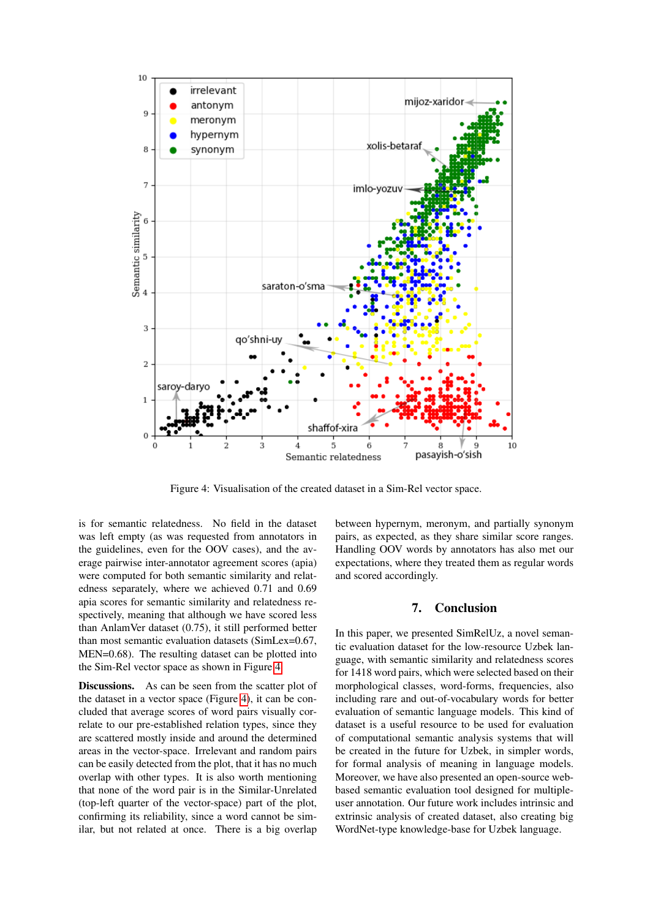

<span id="page-5-0"></span>Figure 4: Visualisation of the created dataset in a Sim-Rel vector space.

is for semantic relatedness. No field in the dataset was left empty (as was requested from annotators in the guidelines, even for the OOV cases), and the average pairwise inter-annotator agreement scores (apia) were computed for both semantic similarity and relatedness separately, where we achieved 0.71 and 0.69 apia scores for semantic similarity and relatedness respectively, meaning that although we have scored less than AnlamVer dataset (0.75), it still performed better than most semantic evaluation datasets (SimLex=0.67, MEN=0.68). The resulting dataset can be plotted into the Sim-Rel vector space as shown in Figure [4.](#page-5-0)

Discussions. As can be seen from the scatter plot of the dataset in a vector space (Figure [4\)](#page-5-0), it can be concluded that average scores of word pairs visually correlate to our pre-established relation types, since they are scattered mostly inside and around the determined areas in the vector-space. Irrelevant and random pairs can be easily detected from the plot, that it has no much overlap with other types. It is also worth mentioning that none of the word pair is in the Similar-Unrelated (top-left quarter of the vector-space) part of the plot, confirming its reliability, since a word cannot be similar, but not related at once. There is a big overlap between hypernym, meronym, and partially synonym pairs, as expected, as they share similar score ranges. Handling OOV words by annotators has also met our expectations, where they treated them as regular words and scored accordingly.

# 7. Conclusion

In this paper, we presented SimRelUz, a novel semantic evaluation dataset for the low-resource Uzbek language, with semantic similarity and relatedness scores for 1418 word pairs, which were selected based on their morphological classes, word-forms, frequencies, also including rare and out-of-vocabulary words for better evaluation of semantic language models. This kind of dataset is a useful resource to be used for evaluation of computational semantic analysis systems that will be created in the future for Uzbek, in simpler words, for formal analysis of meaning in language models. Moreover, we have also presented an open-source webbased semantic evaluation tool designed for multipleuser annotation. Our future work includes intrinsic and extrinsic analysis of created dataset, also creating big WordNet-type knowledge-base for Uzbek language.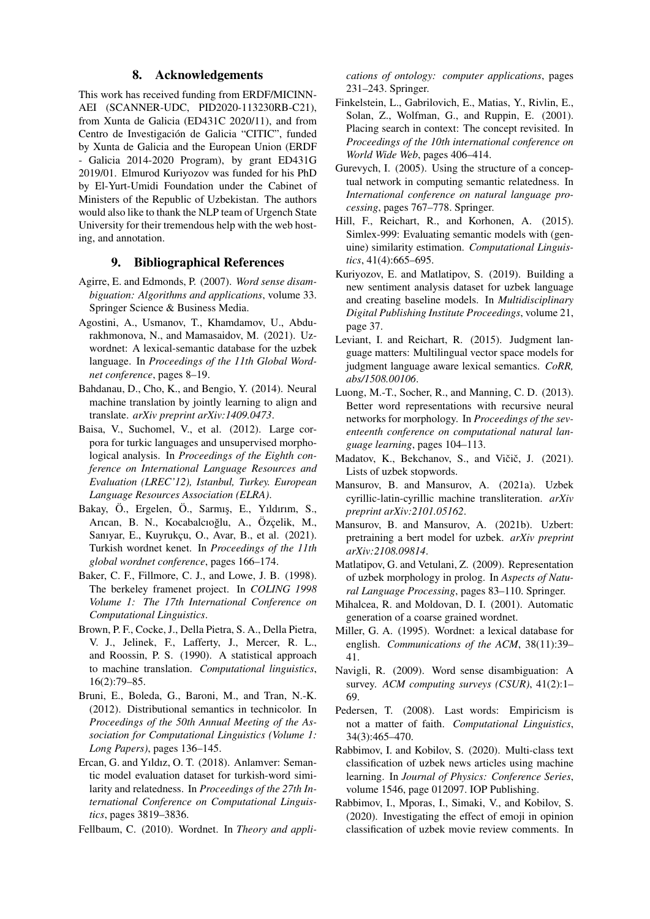#### 8. Acknowledgements

This work has received funding from ERDF/MICINN-AEI (SCANNER-UDC, PID2020-113230RB-C21), from Xunta de Galicia (ED431C 2020/11), and from Centro de Investigación de Galicia "CITIC", funded by Xunta de Galicia and the European Union (ERDF - Galicia 2014-2020 Program), by grant ED431G 2019/01. Elmurod Kuriyozov was funded for his PhD by El-Yurt-Umidi Foundation under the Cabinet of Ministers of the Republic of Uzbekistan. The authors would also like to thank the NLP team of Urgench State University for their tremendous help with the web hosting, and annotation.

# 9. Bibliographical References

- <span id="page-6-1"></span>Agirre, E. and Edmonds, P. (2007). *Word sense disambiguation: Algorithms and applications*, volume 33. Springer Science & Business Media.
- <span id="page-6-18"></span>Agostini, A., Usmanov, T., Khamdamov, U., Abdurakhmonova, N., and Mamasaidov, M. (2021). Uzwordnet: A lexical-semantic database for the uzbek language. In *Proceedings of the 11th Global Wordnet conference*, pages 8–19.
- <span id="page-6-3"></span>Bahdanau, D., Cho, K., and Bengio, Y. (2014). Neural machine translation by jointly learning to align and translate. *arXiv preprint arXiv:1409.0473*.
- <span id="page-6-24"></span>Baisa, V., Suchomel, V., et al. (2012). Large corpora for turkic languages and unsupervised morphological analysis. In *Proceedings of the Eighth conference on International Language Resources and Evaluation (LREC'12), Istanbul, Turkey. European Language Resources Association (ELRA)*.
- <span id="page-6-13"></span>Bakay, Ö., Ergelen, Ö., Sarmış, E., Yıldırım, S., Arıcan, B. N., Kocabalcıoğlu, A., Özçelik, M., Sanıyar, E., Kuyrukçu, O., Avar, B., et al. (2021). Turkish wordnet kenet. In *Proceedings of the 11th global wordnet conference*, pages 166–174.
- <span id="page-6-7"></span>Baker, C. F., Fillmore, C. J., and Lowe, J. B. (1998). The berkeley framenet project. In *COLING 1998 Volume 1: The 17th International Conference on Computational Linguistics*.
- <span id="page-6-4"></span>Brown, P. F., Cocke, J., Della Pietra, S. A., Della Pietra, V. J., Jelinek, F., Lafferty, J., Mercer, R. L., and Roossin, P. S. (1990). A statistical approach to machine translation. *Computational linguistics*, 16(2):79–85.
- <span id="page-6-8"></span>Bruni, E., Boleda, G., Baroni, M., and Tran, N.-K. (2012). Distributional semantics in technicolor. In *Proceedings of the 50th Annual Meeting of the Association for Computational Linguistics (Volume 1: Long Papers)*, pages 136–145.
- <span id="page-6-14"></span>Ercan, G. and Yıldız, O. T. (2018). Anlamver: Semantic model evaluation dataset for turkish-word similarity and relatedness. In *Proceedings of the 27th International Conference on Computational Linguistics*, pages 3819–3836.
- <span id="page-6-12"></span>Fellbaum, C. (2010). Wordnet. In *Theory and appli-*

*cations of ontology: computer applications*, pages 231–243. Springer.

- <span id="page-6-6"></span>Finkelstein, L., Gabrilovich, E., Matias, Y., Rivlin, E., Solan, Z., Wolfman, G., and Ruppin, E. (2001). Placing search in context: The concept revisited. In *Proceedings of the 10th international conference on World Wide Web*, pages 406–414.
- <span id="page-6-9"></span>Gurevych, I. (2005). Using the structure of a conceptual network in computing semantic relatedness. In *International conference on natural language processing*, pages 767–778. Springer.
- <span id="page-6-5"></span>Hill, F., Reichart, R., and Korhonen, A. (2015). Simlex-999: Evaluating semantic models with (genuine) similarity estimation. *Computational Linguistics*, 41(4):665–695.
- <span id="page-6-21"></span>Kuriyozov, E. and Matlatipov, S. (2019). Building a new sentiment analysis dataset for uzbek language and creating baseline models. In *Multidisciplinary Digital Publishing Institute Proceedings*, volume 21, page 37.
- <span id="page-6-10"></span>Leviant, I. and Reichart, R. (2015). Judgment language matters: Multilingual vector space models for judgment language aware lexical semantics. *CoRR, abs/1508.00106*.
- <span id="page-6-25"></span>Luong, M.-T., Socher, R., and Manning, C. D. (2013). Better word representations with recursive neural networks for morphology. In *Proceedings of the seventeenth conference on computational natural language learning*, pages 104–113.
- <span id="page-6-19"></span>Madatov, K., Bekchanov, S., and Vičič, J. (2021). Lists of uzbek stopwords.
- <span id="page-6-17"></span>Mansurov, B. and Mansurov, A. (2021a). Uzbek cyrillic-latin-cyrillic machine transliteration. *arXiv preprint arXiv:2101.05162*.
- <span id="page-6-23"></span>Mansurov, B. and Mansurov, A. (2021b). Uzbert: pretraining a bert model for uzbek. *arXiv preprint arXiv:2108.09814*.
- <span id="page-6-16"></span>Matlatipov, G. and Vetulani, Z. (2009). Representation of uzbek morphology in prolog. In *Aspects of Natural Language Processing*, pages 83–110. Springer.
- <span id="page-6-2"></span>Mihalcea, R. and Moldovan, D. I. (2001). Automatic generation of a coarse grained wordnet.
- <span id="page-6-11"></span>Miller, G. A. (1995). Wordnet: a lexical database for english. *Communications of the ACM*, 38(11):39– 41.
- <span id="page-6-0"></span>Navigli, R. (2009). Word sense disambiguation: A survey. *ACM computing surveys (CSUR)*, 41(2):1– 69.
- <span id="page-6-15"></span>Pedersen, T. (2008). Last words: Empiricism is not a matter of faith. *Computational Linguistics*, 34(3):465–470.
- <span id="page-6-22"></span>Rabbimov, I. and Kobilov, S. (2020). Multi-class text classification of uzbek news articles using machine learning. In *Journal of Physics: Conference Series*, volume 1546, page 012097. IOP Publishing.
- <span id="page-6-20"></span>Rabbimov, I., Mporas, I., Simaki, V., and Kobilov, S. (2020). Investigating the effect of emoji in opinion classification of uzbek movie review comments. In